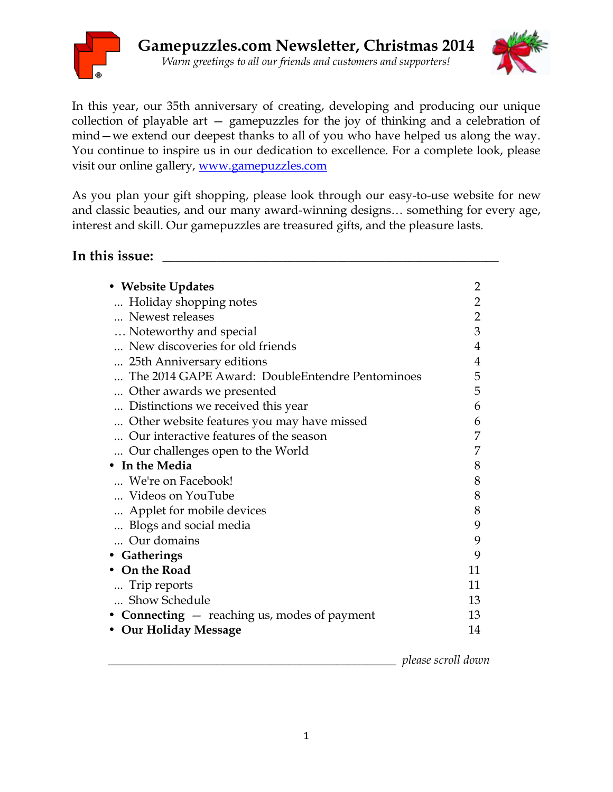



In this year, our 35th anniversary of creating, developing and producing our unique collection of playable art — gamepuzzles for the joy of thinking and a celebration of mind—we extend our deepest thanks to all of you who have helped us along the way. You continue to inspire us in our dedication to excellence. For a complete look, please visit our online gallery, www.gamepuzzles.com

As you plan your gift shopping, please look through our easy-to-use website for new and classic beauties, and our many award-winning designs… something for every age, interest and skill. Our gamepuzzles are treasured gifts, and the pleasure lasts.

In this issue:  $\overline{\phantom{a}}$ 

| • Website Updates                               |                |
|-------------------------------------------------|----------------|
| Holiday shopping notes                          | $\overline{2}$ |
| Newest releases                                 | $\overline{2}$ |
| Noteworthy and special                          |                |
| New discoveries for old friends                 |                |
| 25th Anniversary editions                       | 4              |
| The 2014 GAPE Award: DoubleEntendre Pentominoes | 5              |
| Other awards we presented                       | 5              |
| Distinctions we received this year              | 6              |
| Other website features you may have missed      | 6              |
| Our interactive features of the season          | 7              |
| Our challenges open to the World                |                |
| In the Media                                    | 8              |
| We're on Facebook!                              | 8              |
| Videos on YouTube                               | 8              |
| Applet for mobile devices                       | 8              |
| Blogs and social media                          | 9              |
| Our domains                                     | 9              |
| • Gatherings                                    | 9              |
| On the Road                                     | 11             |
| Trip reports                                    | 11             |
| Show Schedule                                   | 13             |
| • Connecting $-$ reaching us, modes of payment  |                |
| • Our Holiday Message                           |                |

\_\_\_\_\_\_\_\_\_\_\_\_\_\_\_\_\_\_\_\_\_\_\_\_\_\_\_\_\_\_\_\_\_\_\_\_\_\_\_\_\_\_\_\_\_\_\_\_ *please scroll down*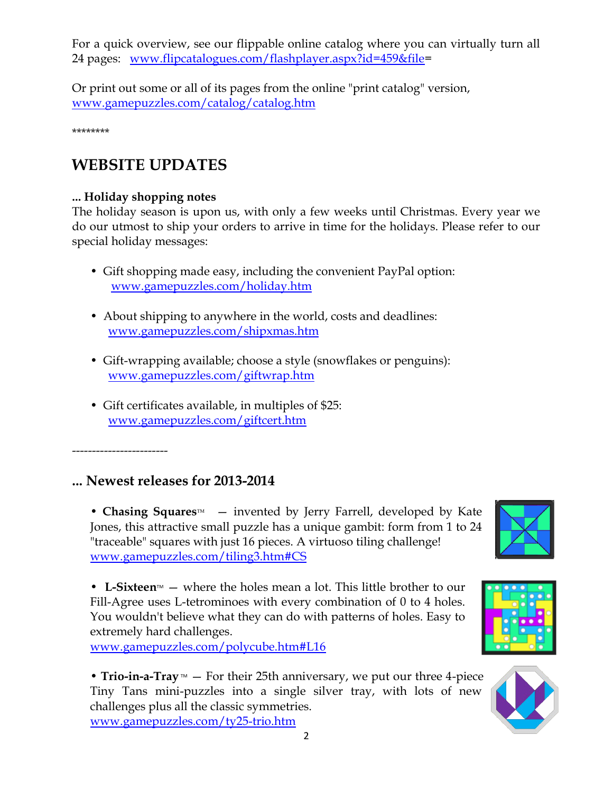For a quick overview, see our flippable online catalog where you can virtually turn all 24 pages: [www.flipcatalogues.com/flashplayer.aspx?id=459&file=](http://www.flipcatalogues.com/flashplayer.aspx?id=459&file)

Or print out some or all of its pages from the online "print catalog" version, [www.gamepuzzles.com/catalog/catalog.htm](http://www.gamepuzzles.com/catalog/catalog.htm) 

\*\*\*\*\*\*\*\*

# **WEBSITE UPDATES**

## **... Holiday shopping notes**

The holiday season is upon us, with only a few weeks until Christmas. Every year we do our utmost to ship your orders to arrive in time for the holidays. Please refer to our special holiday messages:

- Gift shopping made easy, including the convenient PayPal option: [www.gamepuzzles.com/holiday.htm](http://www.gamepuzzles.com/holiday.htm)
- About shipping to anywhere in the world, costs and deadlines: [www.gamepuzzles.com/shipxmas.htm](http://www.gamepuzzles.com/shipxmas.htm)
- Gift-wrapping available; choose a style (snowflakes or penguins): [www.gamepuzzles.com/giftwrap.htm](http://www.gamepuzzles.com/giftwrap.htm)
- Gift certificates available, in multiples of \$25: [www.gamepuzzles.com/giftcert.htm](http://www.gamepuzzles.com/giftcert.htm)

------------------------

## **... Newest releases for 2013-2014**

• **Chasing Squares**<sup>M</sup> – invented by Jerry Farrell, developed by Kate Jones, this attractive small puzzle has a unique gambit: form from 1 to 24 "traceable" squares with just 16 pieces. A virtuoso tiling challenge! [www.gamepuzzles.com/tiling3.htm#CS](http://www.gamepuzzles.com/tiling3.htm#CS)

• L-Sixteen<sup> $M$ </sup> – where the holes mean a lot. This little brother to our Fill-Agree uses L-tetrominoes with every combination of 0 to 4 holes. You wouldn't believe what they can do with patterns of holes. Easy to extremely hard challenges.

[www.gamepuzzles.com/polycube.htm#L16](http://www.gamepuzzles.com/polycube.htm#L16)

• **Trio-in-a-Tray**  $M$  – For their 25th anniversary, we put our three 4-piece Tiny Tans mini-puzzles into a single silver tray, with lots of new challenges plus all the classic symmetries.

[www.gamepuzzles.com/ty25-trio.htm](http://www.gamepuzzles.com/ty25-trio.htm)

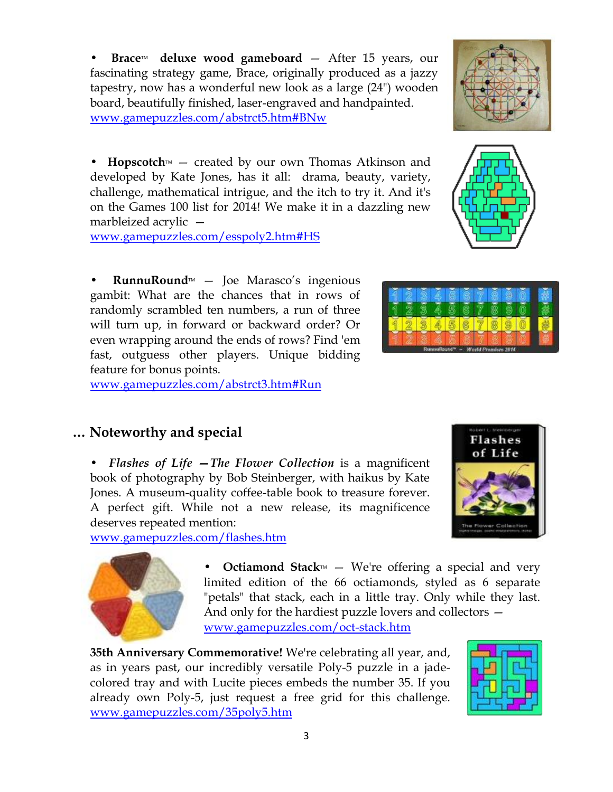3

**Brace<sup>™</sup>** deluxe wood gameboard – After 15 years, our fascinating strategy game, Brace, originally produced as a jazzy tapestry, now has a wonderful new look as a large (24") wooden board, beautifully finished, laser-engraved and handpainted. [www.gamepuzzles.com/abstrct5.htm#BNw](http://www.gamepuzzles.com/abstrct5.htm#BNw)

• **Hopscotch** $M$  – created by our own Thomas Atkinson and developed by Kate Jones, has it all: drama, beauty, variety, challenge, mathematical intrigue, and the itch to try it. And it's on the Games 100 list for 2014! We make it in a dazzling new marbleized acrylic —

[www.gamepuzzles.com/esspoly2.htm#HS](http://www.gamepuzzles.com/esspoly2.htm#HS) 

• **RunnuRound**<sup>M</sup> – Joe Marasco's ingenious gambit: What are the chances that in rows of randomly scrambled ten numbers, a run of three will turn up, in forward or backward order? Or even wrapping around the ends of rows? Find 'em fast, outguess other players. Unique bidding feature for bonus points.

[www.gamepuzzles.com/abstrct3.htm#Run](http://www.gamepuzzles.com/abstrct3.htm#Run)

## **… Noteworthy and special**

• *Flashes of Life —The Flower Collection* is a magnificent book of photography by Bob Steinberger, with haikus by Kate Jones. A museum-quality coffee-table book to treasure forever. A perfect gift. While not a new release, its magnificence deserves repeated mention:

[www.gamepuzzles.com/flashes.htm](http://www.gamepuzzles.com/flashes.htm) 

• **Octiamond Stack**<sup>M</sup> – We're offering a special and very limited edition of the 66 octiamonds, styled as 6 separate "petals" that stack, each in a little tray. Only while they last. And only for the hardiest puzzle lovers and collectors [www.gamepuzzles.com/oct-stack.htm](http://www.gamepuzzles.com/oct-stack.htm) 

**35th Anniversary Commemorative!** We're celebrating all year, and, as in years past, our incredibly versatile Poly-5 puzzle in a jadecolored tray and with Lucite pieces embeds the number 35. If you already own Poly-5, just request a free grid for this challenge. [www.gamepuzzles.com/35poly5.htm](http://www.gamepuzzles.com/35poly5.htm)





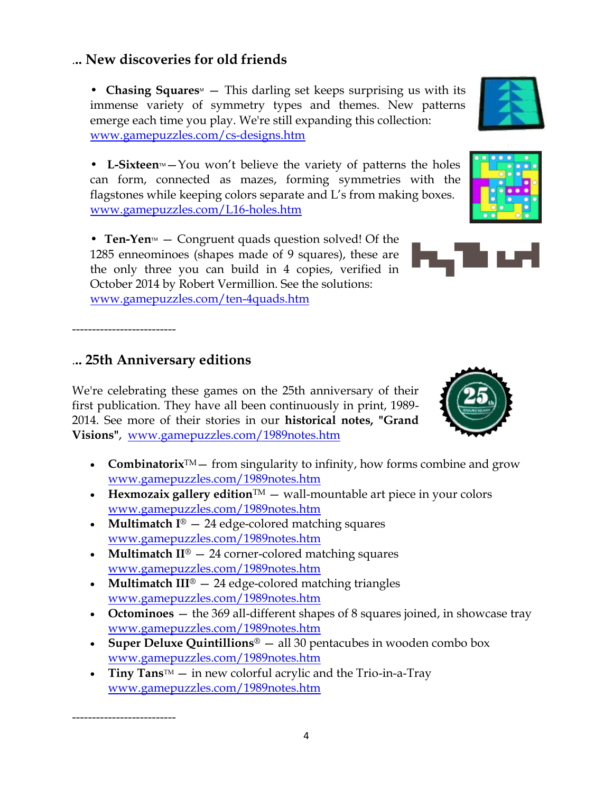# .**.. New discoveries for old friends**

• **Chasing Squares** – This darling set keeps surprising us with its immense variety of symmetry types and themes. New patterns emerge each time you play. We're still expanding this collection: [www.gamepuzzles.com/cs-designs.htm](http://www.gamepuzzles.com/tjtiling.htm#TJalphabet)

• L-Sixteen<sup>*M*</sup> – You won't believe the variety of patterns the holes can form, connected as mazes, forming symmetries with the flagstones while keeping colors separate and L's from making boxes. [www.gamepuzzles.com/L16-holes.htm](http://www.gamepuzzles.com/L16-holes.htm) 

• **Ten-Yen**<sup>M</sup> — Congruent quads question solved! Of the 1285 enneominoes (shapes made of 9 squares), these are the only three you can build in 4 copies, verified in October 2014 by Robert Vermillion. See the solutions: [www.gamepuzzles.com/ten-4quads.htm](http://www.gamepuzzles.com/ten-4quads.htm) 

## .**.. 25th Anniversary editions**

--------------------------

--------------------------

We're celebrating these games on the 25th anniversary of their first publication. They have all been continuously in print, 1989- 2014. See more of their stories in our **historical notes, "Grand Visions"**, [www.gamepuzzles.com/1989notes.htm](http://www.gamepuzzles.com/1989notes.htm)

- **Combinatorix**<sup> $TM$ </sup> from singularity to infinity, how forms combine and grow [www.gamepuzzles.com/1989notes.htm](http://www.gamepuzzles.com/1989notes.htm)
- **Hexmozaix gallery edition**<sup> $TM$ </sup> wall-mountable art piece in your colors [www.gamepuzzles.com/1989notes.htm](http://www.gamepuzzles.com/1989notes.htm)
- **Multimatch I<sup>®</sup>** 24 edge-colored matching squares [www.gamepuzzles.com/1989notes.htm](http://www.gamepuzzles.com/1989notes.htm)
- **Multimatch II**® 24 corner-colored matching squares [www.gamepuzzles.com/1989notes.htm](http://www.gamepuzzles.com/1989notes.htm)
- **Multimatch III**® 24 edge-colored matching triangles [www.gamepuzzles.com/1989notes.htm](http://www.gamepuzzles.com/1989notes.htm)
- **Octominoes** the 369 all-different shapes of 8 squares joined, in showcase tray [www.gamepuzzles.com/1989notes.htm](http://www.gamepuzzles.com/1989notes.htm)
- **Super Deluxe Quintillions**<sup>®</sup> all 30 pentacubes in wooden combo box [www.gamepuzzles.com/1989notes.htm](http://www.gamepuzzles.com/1989notes.htm)
- **Tiny Tans**<sup>IM</sup> in new colorful acrylic and the Trio-in-a-Tray [www.gamepuzzles.com/1989notes.htm](http://www.gamepuzzles.com/1989notes.htm)



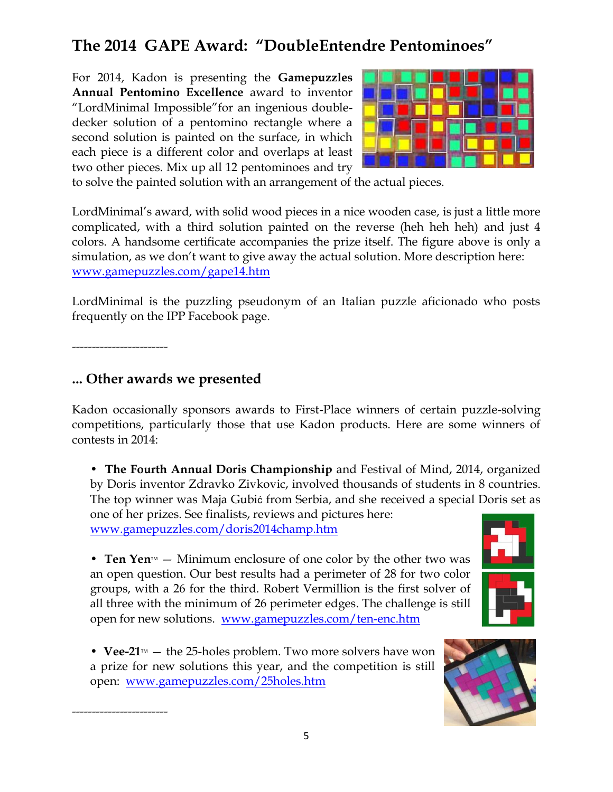# **The 2014 GAPE Award: "DoubleEntendre Pentominoes"**

For 2014, Kadon is presenting the **Gamepuzzles Annual Pentomino Excellence** award to inventor "LordMinimal Impossible"for an ingenious doubledecker solution of a pentomino rectangle where a second solution is painted on the surface, in which each piece is a different color and overlaps at least two other pieces. Mix up all 12 pentominoes and try



to solve the painted solution with an arrangement of the actual pieces.

LordMinimal's award, with solid wood pieces in a nice wooden case, is just a little more complicated, with a third solution painted on the reverse (heh heh heh) and just 4 colors. A handsome certificate accompanies the prize itself. The figure above is only a simulation, as we don't want to give away the actual solution. More description here: [www.gamepuzzles.com/gape14.htm](http://www.gamepuzzles.com/gape14.htm)

LordMinimal is the puzzling pseudonym of an Italian puzzle aficionado who posts frequently on the IPP Facebook page.

------------------------

------------------------

## **... Other awards we presented**

Kadon occasionally sponsors awards to First-Place winners of certain puzzle-solving competitions, particularly those that use Kadon products. Here are some winners of contests in 2014:

• **The Fourth Annual Doris Championship** and Festival of Mind, 2014, organized by Doris inventor Zdravko Zivkovic, involved thousands of students in 8 countries. The top winner was Maja Gubić from Serbia, and she received a special Doris set as one of her prizes. See finalists, reviews and pictures here:

[www.gamepuzzles.com/doris2014champ.htm](http://www.gamepuzzles.com/doris2014champ.htm)



• **Ten Yen** $M \sim$  Minimum enclosure of one color by the other two was an open question. Our best results had a perimeter of 28 for two color groups, with a 26 for the third. Robert Vermillion is the first solver of all three with the minimum of 26 perimeter edges. The challenge is still open for new solutions. [www.gamepuzzles.com/ten-enc.htm](http://www.gamepuzzles.com/ten-enc.htm)

• **Vee-21** $M$  – the 25-holes problem. Two more solvers have won a prize for new solutions this year, and the competition is still open: [www.gamepuzzles.com/25holes.htm](http://www.gamepuzzles.com/25holes.htm)

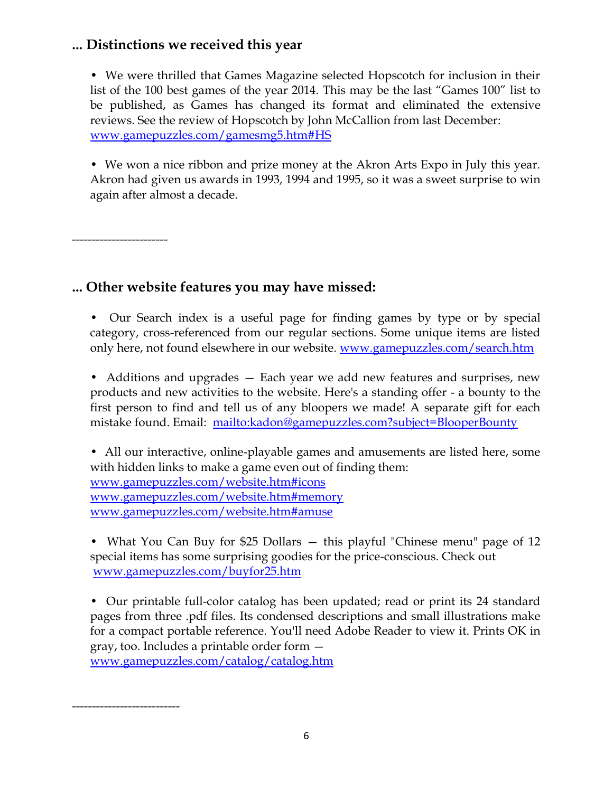## **... Distinctions we received this year**

• We were thrilled that Games Magazine selected Hopscotch for inclusion in their list of the 100 best games of the year 2014. This may be the last "Games 100" list to be published, as Games has changed its format and eliminated the extensive reviews. See the review of Hopscotch by John McCallion from last December: [www.gamepuzzles.com/gamesmg5.htm#HS](http://www.gamepuzzles.com/gamesmg5.htm#HS)

• We won a nice ribbon and prize money at the Akron Arts Expo in July this year. Akron had given us awards in 1993, 1994 and 1995, so it was a sweet surprise to win again after almost a decade.

------------------------

-----------------------

## **... Other website features you may have missed:**

• Our Search index is a useful page for finding games by type or by special category, cross-referenced from our regular sections. Some unique items are listed only here, not found elsewhere in our website. [www.gamepuzzles.com/search.htm](http://www.gamepuzzles.com/search.htm) 

• Additions and upgrades – Each year we add new features and surprises, new products and new activities to the website. Here's a standing offer - a bounty to the first person to find and tell us of any bloopers we made! A separate gift for each mistake found. Email: <mailto:kadon@gamepuzzles.com?subject=BlooperBounty>

• All our interactive, online-playable games and amusements are listed here, some with hidden links to make a game even out of finding them: [www.gamepuzzles.com/website.htm#icons](http://www.gamepuzzles.com/website.htm#icons)  [www.gamepuzzles.com/website.htm#memory](http://www.gamepuzzles.com/website.htm#memory)  [www.gamepuzzles.com/website.htm#amuse](http://www.gamepuzzles.com/website.htm#amuse) 

• What You Can Buy for \$25 Dollars – this playful "Chinese menu" page of 12 special items has some surprising goodies for the price-conscious. Check out [www.gamepuzzles.com/buyfor25.htm](http://www.gamepuzzles.com/buyfor25.htm) 

• Our printable full-color catalog has been updated; read or print its 24 standard pages from three .pdf files. Its condensed descriptions and small illustrations make for a compact portable reference. You'll need Adobe Reader to view it. Prints OK in gray, too. Includes a printable order form [www.gamepuzzles.com/catalog/catalog.htm](http://www.gamepuzzles.com/catalog/catalog.htm)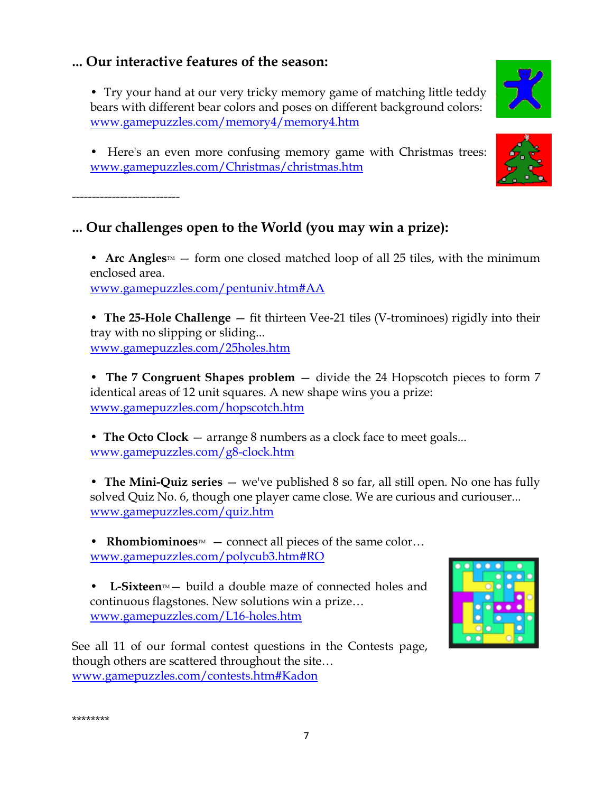## **... Our interactive features of the season:**

• Try your hand at our very tricky memory game of matching little teddy bears with different bear colors and poses on different background colors: [www.gamepuzzles.com/memory4/memory4.htm](http://www.gamepuzzles.com/memory4/memory4.htm) 

• Here's an even more confusing memory game with Christmas trees: [www.gamepuzzles.com/Christmas/christmas.htm](http://www.gamepuzzles.com/Christmas/christmas.htm) 

-----------------------

\*\*\*\*\*\*\*\*

# **... Our challenges open to the World (you may win a prize):**

• Arc Angles<sup> $M$ </sup> – form one closed matched loop of all 25 tiles, with the minimum enclosed area. [www.gamepuzzles.com/pentuniv.htm#AA](http://www.gamepuzzles.com/pentuniv.htm#AA) 

• **The 25-Hole Challenge** — fit thirteen Vee-21 tiles (V-trominoes) rigidly into their tray with no slipping or sliding... [www.gamepuzzles.com/25holes.htm](http://www.gamepuzzles.com/25holes.htm) 

• **The 7 Congruent Shapes problem** — divide the 24 Hopscotch pieces to form 7 identical areas of 12 unit squares. A new shape wins you a prize: [www.gamepuzzles.com/hopscotch.htm](http://www.gamepuzzles.com/hopscotch.htm) 

• **The Octo Clock** — arrange 8 numbers as a clock face to meet goals... [www.gamepuzzles.com/g8-clock.htm](http://www.gamepuzzles.com/g8-clock.htm) 

• **The Mini-Quiz series** — we've published 8 so far, all still open. No one has fully solved Quiz No. 6, though one player came close. We are curious and curiouser... [www.gamepuzzles.com/quiz.htm](http://www.gamepuzzles.com/quiz.htm) 

• **Rhombiominoes** $M$  – connect all pieces of the same color… [www.gamepuzzles.com/polycub3.htm#RO](http://www.gamepuzzles.com/polycub3.htm#RO)

• L-Sixteen<sup>*M*</sup> build a double maze of connected holes and continuous flagstones. New solutions win a prize… [www.gamepuzzles.com/L16-holes.htm](http://www.gamepuzzles.com/L16-holes.htm)

See all 11 of our formal contest questions in the Contests page, though others are scattered throughout the site… [www.gamepuzzles.com/contests.htm#Kadon](http://www.gamepuzzles.com/contests.htm#Kadon)

7





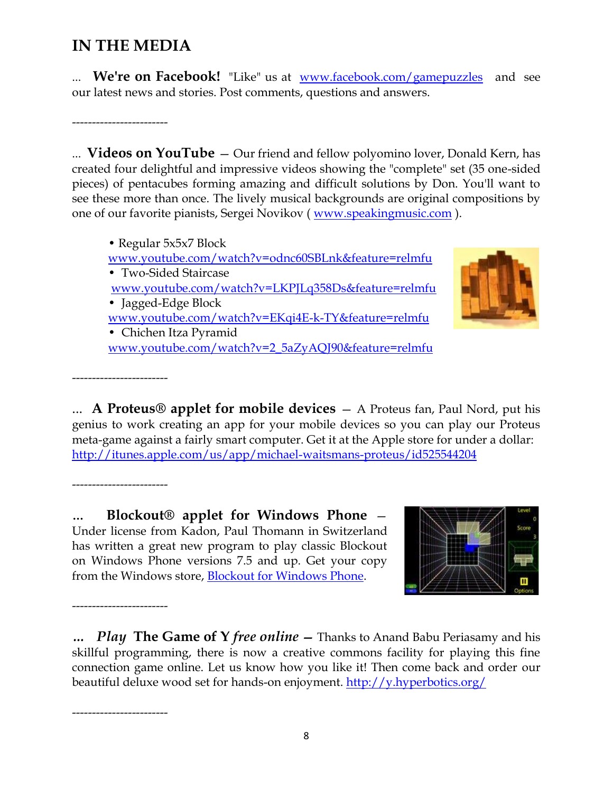# **IN THE MEDIA**

We're on Facebook! "Like" us at <u>www.facebook.com/gamepuzzles</u> and see our latest news and stories. Post comments, questions and answers.

------------------------

... **Videos on YouTube** — Our friend and fellow polyomino lover, Donald Kern, has created four delightful and impressive videos showing the "complete" set (35 one-sided pieces) of pentacubes forming amazing and difficult solutions by Don. You'll want to see these more than once. The lively musical backgrounds are original compositions by one of our favorite pianists, Sergei Novikov (*www.speakingmusic.com*).

• Regular 5x5x7 Block [www.youtube.com/watch?v=odnc60SBLnk&feature=relmfu](http://www.youtube.com/watch?v=odnc60SBLnk&feature=relmfu)  • Two-Sided Staircase [www.youtube.com/watch?v=LKPJLq358Ds&feature=relmfu](http://www.youtube.com/watch?v=LKPJLq358Ds&feature=relmfu)  • Jagged-Edge Block [www.youtube.com/watch?v=EKqi4E-k-TY&feature=relmfu](http://www.youtube.com/watch?v=EKqi4E-k-TY&feature=relmfu)  • Chichen Itza Pyramid [www.youtube.com/watch?v=2\\_5aZyAQJ90&feature=relmfu](http://www.youtube.com/watch?v=2_5aZyAQJ90&feature=relmfu) 



... **A Proteus® applet for mobile devices** — A Proteus fan, Paul Nord, put his genius to work creating an app for your mobile devices so you can play our Proteus meta-game against a fairly smart computer. Get it at the Apple store for under a dollar: <http://itunes.apple.com/us/app/michael-waitsmans-proteus/id525544204>

------------------------

------------------------

------------------------

------------------------

**… Blockout® applet for Windows Phone** — Under license from Kadon, Paul Thomann in Switzerland has written a great new program to play classic Blockout on Windows Phone versions 7.5 and up. Get your copy from the Windows store, [Blockout for Windows Phone.](http://www.windowsphone.com/en-us/store/app/blockout/3992f6cc-6c4c-4d4d-bfe6-bd24b936e455)



*… Play* **The Game of Y** *free online* **—** Thanks to Anand Babu Periasamy and his skillful programming, there is now a creative commons facility for playing this fine connection game online. Let us know how you like it! Then come back and order our beautiful deluxe wood set for hands-on enjoyment. <http://y.hyperbotics.org/>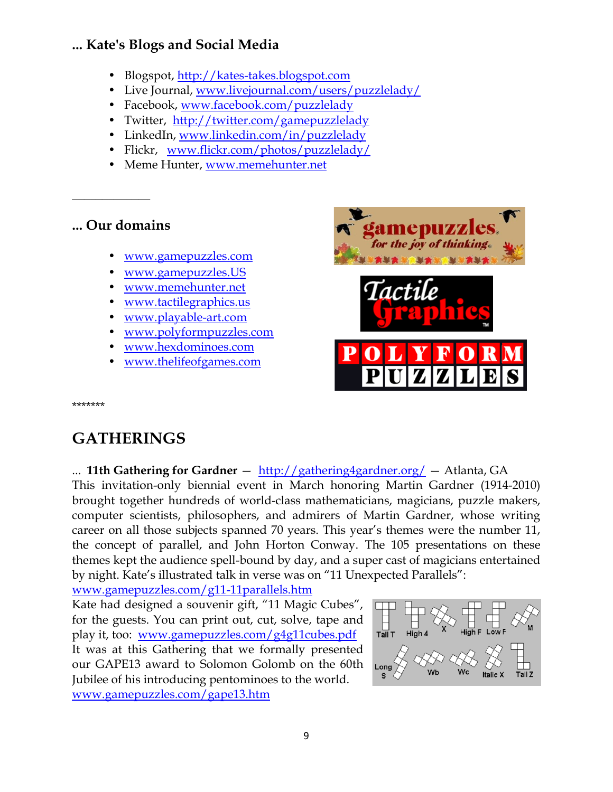## **... Kate's Blogs and Social Media**

- Blogspot, http://kates-takes.blogspot.com
- Live Journal, [www.livejournal.com/users/puzzlelady/](http://www.livejournal.com/users/puzzlelady/)
- Facebook, [www.facebook.com/puzzlelady](http://www.facebook.com/puzzlelady)
- Twitter, <http://twitter.com/gamepuzzlelady>
- LinkedIn, [www.linkedin.com/in/puzzlelady](http://www.linkedin.com/in/puzzlelady)
- Flickr, [www.flickr.com/photos/puzzlelady/](http://www.flickr.com/photos/puzzlelady/)
- Meme Hunter, [www.memehunter.net](http://www.memehunter.net/)

## **... Our domains**

 $\overline{\phantom{a}}$  , where  $\overline{\phantom{a}}$ 

- [www.gamepuzzles.com](http://www.gamepuzzles.com/)
- [www.gamepuzzles.US](http://www.gamepuzzles.us/)
- [www.memehunter.net](http://www.memehunter.net/)
- [www.tactilegraphics.us](http://www.tactilegraphics.us/)
- [www.playable-art.com](http://www.playable-art.com/)
- [www.polyformpuzzles.com](http://www.polyformpuzzles.com/)
- [www.hexdominoes.com](http://www.hexdominoes.com/)
- [www.thelifeofgames.com](http://www.thelifeofgames.com/)



\*\*\*\*\*\*\*

# **GATHERINGS**

... **11th Gathering for Gardner** — <http://gathering4gardner.org/> — Atlanta, GA

This invitation-only biennial event in March honoring Martin Gardner (1914-2010) brought together hundreds of world-class mathematicians, magicians, puzzle makers, computer scientists, philosophers, and admirers of Martin Gardner, whose writing career on all those subjects spanned 70 years. This year's themes were the number 11, the concept of parallel, and John Horton Conway. The 105 presentations on these themes kept the audience spell-bound by day, and a super cast of magicians entertained by night. Kate's illustrated talk in verse was on "11 Unexpected Parallels":

[www.gamepuzzles.com/g11-11parallels.htm](http://www.gamepuzzles.com/g11-11parallels.htm)

Kate had designed a souvenir gift, "11 Magic Cubes", for the guests. You can print out, cut, solve, tape and play it, too: [www.gamepuzzles.com/g4g11cubes.pdf](http://www.gamepuzzles.com/g4g11cubes.pdf) It was at this Gathering that we formally presented our GAPE13 award to Solomon Golomb on the 60th Jubilee of his introducing pentominoes to the world. [www.gamepuzzles.com/gape13.htm](http://www.gamepuzzles.com/gape13.htm)

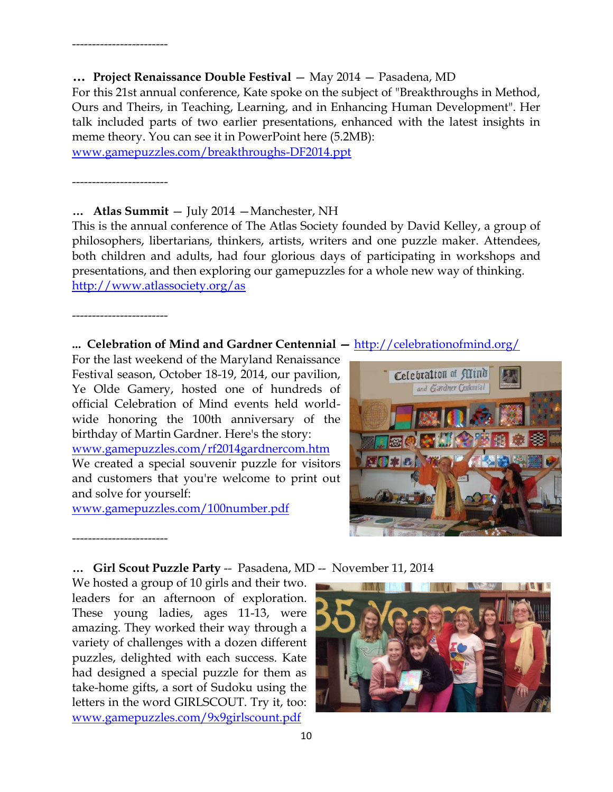For this 21st annual conference, Kate spoke on the subject of "Breakthroughs in Method, Ours and Theirs, in Teaching, Learning, and in Enhancing Human Development". Her talk included parts of two earlier presentations, enhanced with the latest insights in meme theory. You can see it in PowerPoint here (5.2MB):

[www.gamepuzzles.com/breakthroughs-DF2014.ppt](http://www.gamepuzzles.com/breakthroughs-DF2014.ppt)

------------------------

------------------------

#### **… Atlas Summit** — July 2014 —Manchester, NH

This is the annual conference of The Atlas Society founded by David Kelley, a group of philosophers, libertarians, thinkers, artists, writers and one puzzle maker. Attendees, both children and adults, had four glorious days of participating in workshops and presentations, and then exploring our gamepuzzles for a whole new way of thinking. <http://www.atlassociety.org/as>

------------------------

------------------------

#### **... Celebration of Mind and Gardner Centennial —** <http://celebrationofmind.org/>

For the last weekend of the Maryland Renaissance Festival season, October 18-19, 2014, our pavilion, Ye Olde Gamery, hosted one of hundreds of official Celebration of Mind events held worldwide honoring the 100th anniversary of the birthday of Martin Gardner. Here's the story: [www.gamepuzzles.com/rf2014gardnercom.htm](http://www.gamepuzzles.com/rf2014gardnercom.htm) We created a special souvenir puzzle for visitors and customers that you're welcome to print out and solve for yourself:

[www.gamepuzzles.com/100number.pdf](http://www.gamepuzzles.com/100number.pdf)



### **… Girl Scout Puzzle Party** -- Pasadena, MD -- November 11, 2014

We hosted a group of 10 girls and their two. leaders for an afternoon of exploration. These young ladies, ages 11-13, were amazing. They worked their way through a variety of challenges with a dozen different puzzles, delighted with each success. Kate had designed a special puzzle for them as take-home gifts, a sort of Sudoku using the letters in the word GIRLSCOUT. Try it, too: [www.gamepuzzles.com/9x9girlscount.pdf](http://www.gamepuzzles.com/9x9girlscount.pdf)

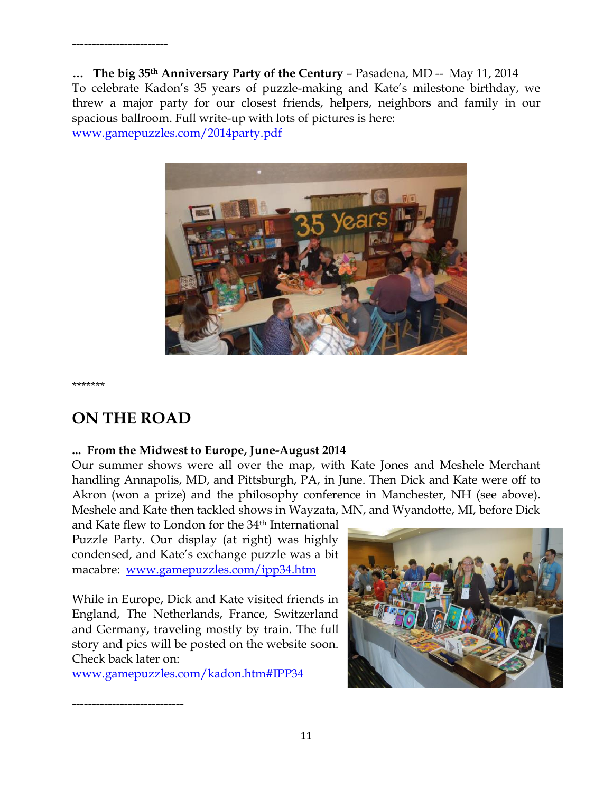**… The big 35th Anniversary Party of the Century** – Pasadena, MD -- May 11, 2014 To celebrate Kadon's 35 years of puzzle-making and Kate's milestone birthday, we threw a major party for our closest friends, helpers, neighbors and family in our spacious ballroom. Full write-up with lots of pictures is here: [www.gamepuzzles.com/2014party.pdf](http://www.gamepuzzles.com/2014party.pdf)



\*\*\*\*\*\*\*

# **ON THE ROAD**

----------------------------

------------------------

### **... From the Midwest to Europe, June-August 2014**

Our summer shows were all over the map, with Kate Jones and Meshele Merchant handling Annapolis, MD, and Pittsburgh, PA, in June. Then Dick and Kate were off to Akron (won a prize) and the philosophy conference in Manchester, NH (see above). Meshele and Kate then tackled shows in Wayzata, MN, and Wyandotte, MI, before Dick

and Kate flew to London for the 34th International Puzzle Party. Our display (at right) was highly condensed, and Kate's exchange puzzle was a bit macabre: [www.gamepuzzles.com/ipp34.htm](http://www.gamepuzzles.com/ipp34.htm)

While in Europe, Dick and Kate visited friends in England, The Netherlands, France, Switzerland and Germany, traveling mostly by train. The full story and pics will be posted on the website soon. Check back later on:

[www.gamepuzzles.com/kadon.htm#IPP34](http://www.gamepuzzles.com/kadon.htm#IPP34) 

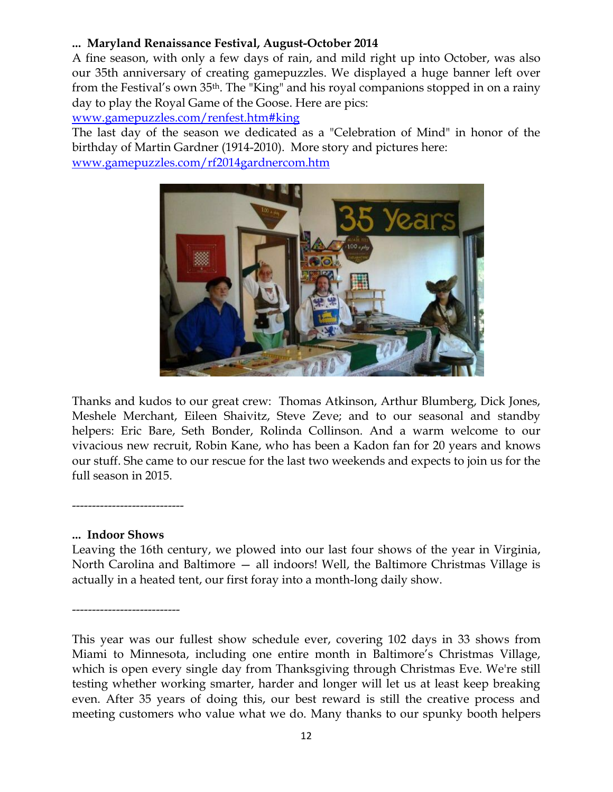### **... Maryland Renaissance Festival, August-October 2014**

A fine season, with only a few days of rain, and mild right up into October, was also our 35th anniversary of creating gamepuzzles. We displayed a huge banner left over from the Festival's own 35th. The "King" and his royal companions stopped in on a rainy day to play the Royal Game of the Goose. Here are pics:

[www.gamepuzzles.com/renfest.htm#king](http://www.gamepuzzles.com/renfest.htm#king)

The last day of the season we dedicated as a "Celebration of Mind" in honor of the birthday of Martin Gardner (1914-2010). More story and pictures here:

[www.gamepuzzles.com/rf2014gardnercom.htm](http://www.gamepuzzles.com/rf2014gardnercom.htm)



Thanks and kudos to our great crew: Thomas Atkinson, Arthur Blumberg, Dick Jones, Meshele Merchant, Eileen Shaivitz, Steve Zeve; and to our seasonal and standby helpers: Eric Bare, Seth Bonder, Rolinda Collinson. And a warm welcome to our vivacious new recruit, Robin Kane, who has been a Kadon fan for 20 years and knows our stuff. She came to our rescue for the last two weekends and expects to join us for the full season in 2015.

----------------------------

### **... Indoor Shows**

Leaving the 16th century, we plowed into our last four shows of the year in Virginia, North Carolina and Baltimore — all indoors! Well, the Baltimore Christmas Village is actually in a heated tent, our first foray into a month-long daily show.

-----------------------

This year was our fullest show schedule ever, covering 102 days in 33 shows from Miami to Minnesota, including one entire month in Baltimore's Christmas Village, which is open every single day from Thanksgiving through Christmas Eve. We're still testing whether working smarter, harder and longer will let us at least keep breaking even. After 35 years of doing this, our best reward is still the creative process and meeting customers who value what we do. Many thanks to our spunky booth helpers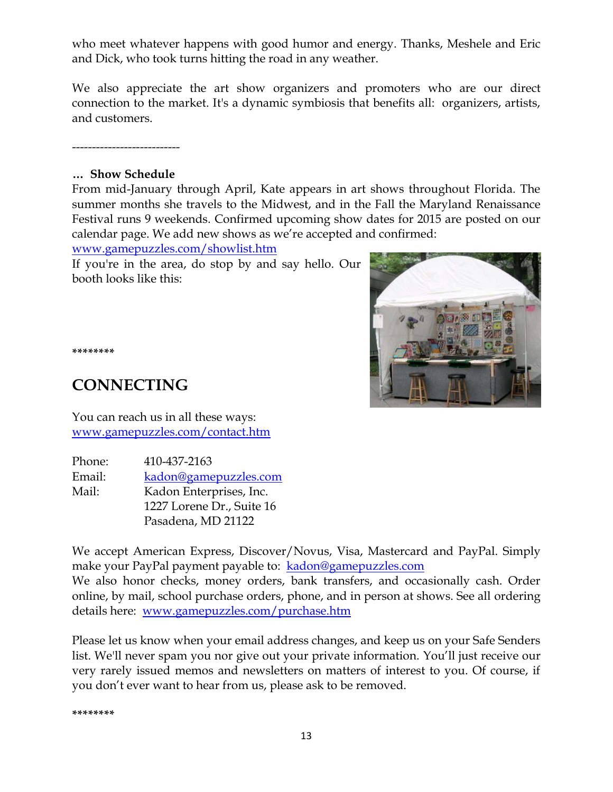who meet whatever happens with good humor and energy. Thanks, Meshele and Eric and Dick, who took turns hitting the road in any weather.

We also appreciate the art show organizers and promoters who are our direct connection to the market. It's a dynamic symbiosis that benefits all: organizers, artists, and customers.

-----------------------

### **… Show Schedule**

From mid-January through April, Kate appears in art shows throughout Florida. The summer months she travels to the Midwest, and in the Fall the Maryland Renaissance Festival runs 9 weekends. Confirmed upcoming show dates for 2015 are posted on our calendar page. We add new shows as we're accepted and confirmed:

[www.gamepuzzles.com/showlist.htm](http://www.gamepuzzles.com/showlist.htm)

If you're in the area, do stop by and say hello. Our booth looks like this:



**\*\*\*\*\*\*\*\***

# **CONNECTING**

You can reach us in all these ways: [www.gamepuzzles.com/contact.htm](http://www.gamepuzzles.com/contact.htm)

| Phone: | 410-437-2163              |
|--------|---------------------------|
| Email: | kadon@gamepuzzles.com     |
| Mail:  | Kadon Enterprises, Inc.   |
|        | 1227 Lorene Dr., Suite 16 |
|        | Pasadena, MD 21122        |

We accept American Express, Discover/Novus, Visa, Mastercard and PayPal. Simply make your PayPal payment payable to: [kadon@gamepuzzles.com](mailto:kadon@gamepuzzles.com) We also honor checks, money orders, bank transfers, and occasionally cash. Order online, by mail, school purchase orders, phone, and in person at shows. See all ordering details here: [www.gamepuzzles.com/purchase.htm](http://www.gamepuzzles.com/purchase.htm)

Please let us know when your email address changes, and keep us on your Safe Senders list. We'll never spam you nor give out your private information. You'll just receive our very rarely issued memos and newsletters on matters of interest to you. Of course, if you don't ever want to hear from us, please ask to be removed.

**\*\*\*\*\*\*\*\***